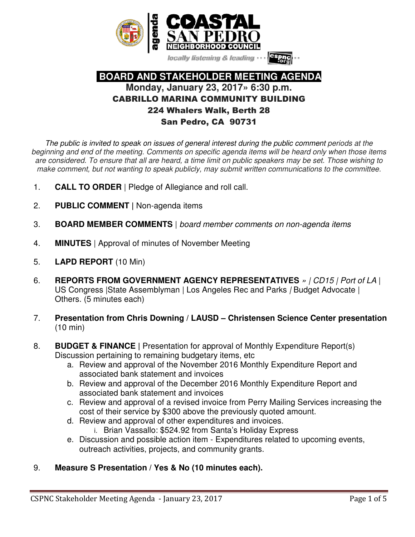

locally listening & leading

# **BOARD AND STAKEHOLDER MEETING AGENDA Monday, January 23, 2017» 6:30 p.m.**  CABRILLO MARINA COMMUNITY BUILDING 224 Whalers Walk, Berth 28 San Pedro, CA 90731

The public is invited to speak on issues of general interest during the public comment periods at the beginning and end of the meeting. Comments on specific agenda items will be heard only when those items are considered. To ensure that all are heard, a time limit on public speakers may be set. Those wishing to make comment, but not wanting to speak publicly, may submit written communications to the committee.

- 1. **CALL TO ORDER** | Pledge of Allegiance and roll call.
- 2. **PUBLIC COMMENT |** Non-agenda items
- 3. **BOARD MEMBER COMMENTS** | board member comments on non-agenda items
- 4. **MINUTES** | Approval of minutes of November Meeting
- 5. **LAPD REPORT** (10 Min)
- 6. **REPORTS FROM GOVERNMENT AGENCY REPRESENTATIVES** » | CD15 | Port of LA | US Congress | State Assemblyman | Los Angeles Rec and Parks / Budget Advocate | Others. (5 minutes each)
- 7. **Presentation from Chris Downing / LAUSD Christensen Science Center presentation**  (10 min)
- 8. **BUDGET & FINANCE |** Presentation for approval of Monthly Expenditure Report(s) Discussion pertaining to remaining budgetary items, etc
	- a. Review and approval of the November 2016 Monthly Expenditure Report and associated bank statement and invoices
	- b. Review and approval of the December 2016 Monthly Expenditure Report and associated bank statement and invoices
	- c. Review and approval of a revised invoice from Perry Mailing Services increasing the cost of their service by \$300 above the previously quoted amount.
	- d. Review and approval of other expenditures and invoices.
		- i. Brian Vassallo: \$524.92 from Santa's Holiday Express
	- e. Discussion and possible action item Expenditures related to upcoming events, outreach activities, projects, and community grants.

### 9. **Measure S Presentation / Yes & No (10 minutes each).**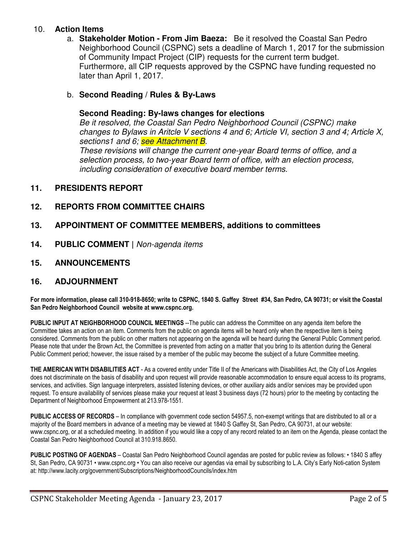#### 10. **Action Items**

a. **Stakeholder Motion - From Jim Baeza:** Be it resolved the Coastal San Pedro Neighborhood Council (CSPNC) sets a deadline of March 1, 2017 for the submission of Community Impact Project (CIP) requests for the current term budget. Furthermore, all CIP requests approved by the CSPNC have funding requested no later than April 1, 2017.

#### b. **Second Reading / Rules & By-Laws**

#### **Second Reading: By-laws changes for elections**

Be it resolved, the Coastal San Pedro Neighborhood Council (CSPNC) make changes to Bylaws in Aritcle V sections 4 and 6; Article VI, section 3 and 4; Article X, sections1 and 6; see Attachment B. These revisions will change the current one-year Board terms of office, and a selection process, to two-year Board term of office, with an election process,

including consideration of executive board member terms.

#### **11. PRESIDENTS REPORT**

#### **12. REPORTS FROM COMMITTEE CHAIRS**

#### **13. APPOINTMENT OF COMMITTEE MEMBERS, additions to committees**

**14. PUBLIC COMMENT |** Non-agenda items

#### **15. ANNOUNCEMENTS**

#### **16. ADJOURNMENT**

**For more information, please call 310-918-8650; write to CSPNC, 1840 S. Gaffey Street #34, San Pedro, CA 90731; or visit the Coastal San Pedro Neighborhood Council website at www.cspnc.org.** 

**PUBLIC INPUT AT NEIGHBORHOOD COUNCIL MEETINGS** --The public can address the Committee on any agenda item before the Committee takes an action on an item. Comments from the public on agenda items will be heard only when the respective item is being considered. Comments from the public on other matters not appearing on the agenda will be heard during the General Public Comment period. Please note that under the Brown Act, the Committee is prevented from acting on a matter that you bring to its attention during the General Public Comment period; however, the issue raised by a member of the public may become the subject of a future Committee meeting.

**THE AMERICAN WITH DISABILITIES ACT** - As a covered entity under Title II of the Americans with Disabilities Act, the City of Los Angeles does not discriminate on the basis of disability and upon request will provide reasonable accommodation to ensure equal access to its programs, services, and activities. Sign language interpreters, assisted listening devices, or other auxiliary aids and/or services may be provided upon request. To ensure availability of services please make your request at least 3 business days (72 hours) prior to the meeting by contacting the Department of Neighborhood Empowerment at 213.978-1551.

**PUBLIC ACCESS OF RECORDS** – In compliance with government code section 54957.5, non-exempt writings that are distributed to all or a majority of the Board members in advance of a meeting may be viewed at 1840 S Gaffey St, San Pedro, CA 90731, at our website: www.cspnc.org, or at a scheduled meeting. In addition if you would like a copy of any record related to an item on the Agenda, please contact the Coastal San Pedro Neighborhood Council at 310.918.8650.

**PUBLIC POSTING OF AGENDAS** – Coastal San Pedro Neighborhood Council agendas are posted for public review as follows: • 1840 S affey St, San Pedro, CA 90731 • www.cspnc.org • You can also receive our agendas via email by subscribing to L.A. City's Early Noti-cation System at: http://www.lacity.org/government/Subscriptions/NeighborhoodCouncils/index.htm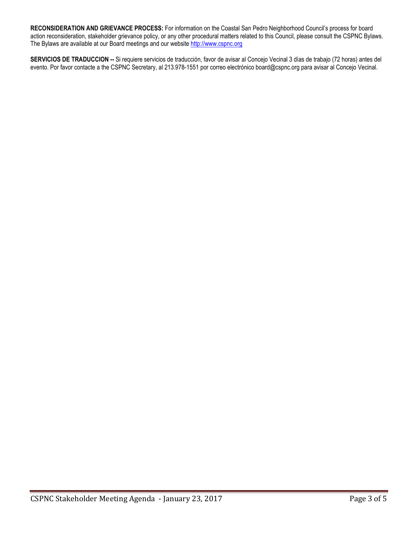**RECONSIDERATION AND GRIEVANCE PROCESS:** For information on the Coastal San Pedro Neighborhood Council's process for board action reconsideration, stakeholder grievance policy, or any other procedural matters related to this Council, please consult the CSPNC Bylaws. The Bylaws are available at our Board meetings and our website http://www.cspnc.org

**SERVICIOS DE TRADUCCION --** Si requiere servicios de traducción, favor de avisar al Concejo Vecinal 3 días de trabajo (72 horas) antes del evento. Por favor contacte a the CSPNC Secretary, al 213.978-1551 por correo electrónico board@cspnc.org para avisar al Concejo Vecinal.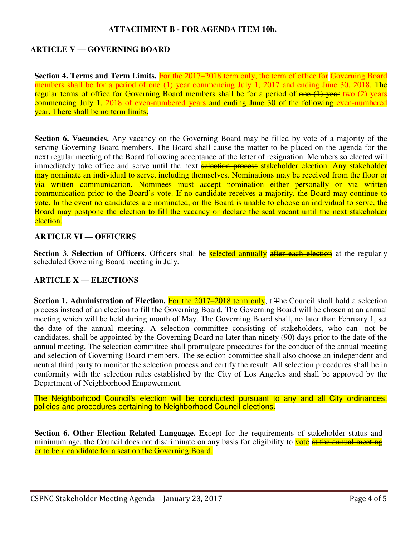#### **ATTACHMENT B - FOR AGENDA ITEM 10b.**

#### **ARTICLE V — GOVERNING BOARD**

**Section 4. Terms and Term Limits.** For the 2017–2018 term only, the term of office for Governing Board members shall be for a period of one (1) year commencing July 1, 2017 and ending June 30, 2018. The regular terms of office for Governing Board members shall be for a period of one (1) year two (2) years commencing July 1, 2018 of even-numbered years and ending June 30 of the following even-numbered year. There shall be no term limits.

**Section 6. Vacancies.** Any vacancy on the Governing Board may be filled by vote of a majority of the serving Governing Board members. The Board shall cause the matter to be placed on the agenda for the next regular meeting of the Board following acceptance of the letter of resignation. Members so elected will immediately take office and serve until the next selection process stakeholder election. Any stakeholder may nominate an individual to serve, including themselves. Nominations may be received from the floor or via written communication. Nominees must accept nomination either personally or via written communication prior to the Board's vote. If no candidate receives a majority, the Board may continue to vote. In the event no candidates are nominated, or the Board is unable to choose an individual to serve, the Board may postpone the election to fill the vacancy or declare the seat vacant until the next stakeholder election.

#### **ARTICLE VI — OFFICERS**

**Section 3. Selection of Officers.** Officers shall be **selected annually** after each election at the regularly scheduled Governing Board meeting in July.

#### **ARTICLE X — ELECTIONS**

**Section 1. Administration of Election. For the 2017–2018 term only, t The Council shall hold a selection** process instead of an election to fill the Governing Board. The Governing Board will be chosen at an annual meeting which will be held during month of May. The Governing Board shall, no later than February 1, set the date of the annual meeting. A selection committee consisting of stakeholders, who can- not be candidates, shall be appointed by the Governing Board no later than ninety (90) days prior to the date of the annual meeting. The selection committee shall promulgate procedures for the conduct of the annual meeting and selection of Governing Board members. The selection committee shall also choose an independent and neutral third party to monitor the selection process and certify the result. All selection procedures shall be in conformity with the selection rules established by the City of Los Angeles and shall be approved by the Department of Neighborhood Empowerment.

The Neighborhood Council's election will be conducted pursuant to any and all City ordinances, policies and procedures pertaining to Neighborhood Council elections.

**Section 6. Other Election Related Language.** Except for the requirements of stakeholder status and minimum age, the Council does not discriminate on any basis for eligibility to vote at the annual meeting or to be a candidate for a seat on the Governing Board.